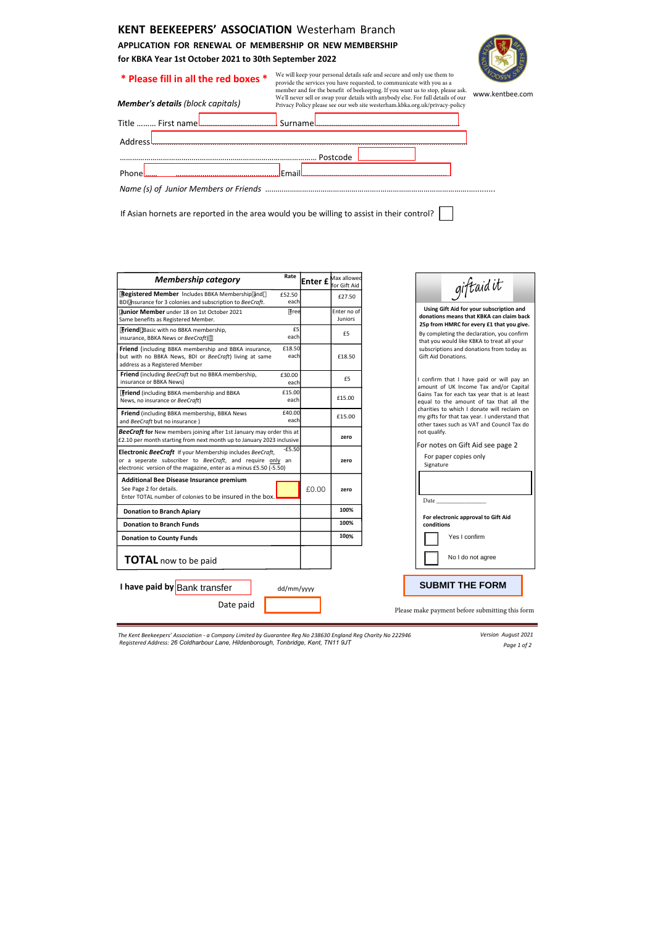**KENT BEEKEEPERS' ASSOCIATION** Westerham Branch **APPLICATION FOR RENEWAL OF MEMBERSHIP OR NEW MEMBERSHIP for KBKA Year 1st October 2021 to 30th September 2022** 

# **\* Please fill in all the red boxes \***

| Member's details (block capitals) | member and for the benefit of beekeeping. If you want us to stop, please ask.<br>We'll never sell or swap your details with anybody else. For full details of our<br>Privacy Policy please see our web site westerham.kbka.org.uk/privacy-policy | www.kentbee.com |
|-----------------------------------|--------------------------------------------------------------------------------------------------------------------------------------------------------------------------------------------------------------------------------------------------|-----------------|
| Title  First name <b></b>         | Surname                                                                                                                                                                                                                                          |                 |
| Address                           |                                                                                                                                                                                                                                                  |                 |
|                                   | Postcode                                                                                                                                                                                                                                         |                 |
|                                   | <b>Email</b>                                                                                                                                                                                                                                     |                 |
|                                   |                                                                                                                                                                                                                                                  |                 |
|                                   |                                                                                                                                                                                                                                                  |                 |

We will keep your personal details safe and secure and only use them to provide the services you have requested, to communicate with you as a

If Asian hornets are reported in the area would you be willing to assist in their control?

| <b>Membership category</b><br>Registered Member Includes BBKA Membership and<br>BDI @surance for 3 colonies and subscription to BeeCraft.<br><b>Junior Member</b> under 18 on 1st October 2021<br><b>Friend</b> Basic with no BBKA membership, | Rate<br>£52.50<br>each | Enter £ | Max allowed                   |              |                                                                                                                                                                                                                  |  |
|------------------------------------------------------------------------------------------------------------------------------------------------------------------------------------------------------------------------------------------------|------------------------|---------|-------------------------------|--------------|------------------------------------------------------------------------------------------------------------------------------------------------------------------------------------------------------------------|--|
|                                                                                                                                                                                                                                                |                        |         | for Gift Aid                  |              | giftaid it                                                                                                                                                                                                       |  |
| Same benefits as Registered Member.                                                                                                                                                                                                            |                        |         | £27.50                        |              |                                                                                                                                                                                                                  |  |
|                                                                                                                                                                                                                                                | Free                   |         | Enter no of<br><b>Juniors</b> |              | Using Gift Aid for your subscription and<br>donations means that KBKA can claim back                                                                                                                             |  |
| insurance, BBKA News or BeeCraft)                                                                                                                                                                                                              | £5<br>each             |         | £5                            |              | 25p from HMRC for every £1 that you give.<br>By completing the declaration, you confirm<br>that you would like KBKA to treat all your<br>subscriptions and donations from today as<br><b>Gift Aid Donations.</b> |  |
| Friend (including BBKA membership and BBKA insurance,<br>but with no BBKA News, BDI or BeeCraft) living at same<br>address as a Registered Member                                                                                              | £18.50<br>each         |         | £18.50                        |              |                                                                                                                                                                                                                  |  |
| Friend (including BeeCraft but no BBKA membership,<br>insurance or BBKA News)                                                                                                                                                                  | £30.00<br>each         |         | £5                            |              | I confirm that I have paid or will pay an<br>amount of UK Income Tax and/or Capital<br>Gains Tax for each tax year that is at least<br>equal to the amount of tax that all the                                   |  |
| <b>Friend</b> (including BBKA membership and BBKA<br>News, no insurance or BeeCraft)                                                                                                                                                           | £15.00<br>each         |         | £15.00                        |              |                                                                                                                                                                                                                  |  |
| Friend (including BBKA membership, BBKA News<br>and BeeCraft but no insurance)                                                                                                                                                                 | £40.00<br>each         |         | £15.00                        |              | charities to which I donate will reclaim on<br>my gifts for that tax year. I understand that<br>other taxes such as VAT and Council Tax do                                                                       |  |
| <b>BeeCraft for</b> New members joining after 1st January may order this at<br>$\pm$ 2.10 per month starting from next month up to January 2023 inclusive                                                                                      |                        |         | zero                          | not qualify. |                                                                                                                                                                                                                  |  |
| Electronic BeeCraft If your Membership includes BeeCraft,<br>or a seperate subscriber to BeeCraft, and require only an<br>electronic version of the magazine, enter as a minus £5.50 (-5.50)                                                   | $-£5.50$               |         | zero                          | Signature    | For notes on Gift Aid see page 2<br>For paper copies only                                                                                                                                                        |  |
| Additional Bee Disease Insurance premium                                                                                                                                                                                                       |                        | £0.00   | zero                          | Date_        |                                                                                                                                                                                                                  |  |
| See Page 2 for details.<br>Enter TOTAL number of colonies to be insured in the box.                                                                                                                                                            |                        |         |                               |              |                                                                                                                                                                                                                  |  |
| <b>Donation to Branch Apiary</b>                                                                                                                                                                                                               |                        |         | 100%                          |              |                                                                                                                                                                                                                  |  |
| <b>Donation to Branch Funds</b>                                                                                                                                                                                                                |                        |         | 100%                          | conditions   | For electronic approval to Gift Aid                                                                                                                                                                              |  |
| <b>Donation to County Funds</b>                                                                                                                                                                                                                |                        |         | 100%                          |              | Yes I confirm                                                                                                                                                                                                    |  |

*Version August 2021 Page 1 of 2*

The Kent Beekeepers' Association - a Company Limited by Guarantee Reg No 238630 England Reg Charity No 222946 *Registered Address: 26 Coldharbour Lane, Hildenborough, Tonbridge, Kent, TN11 9JT*